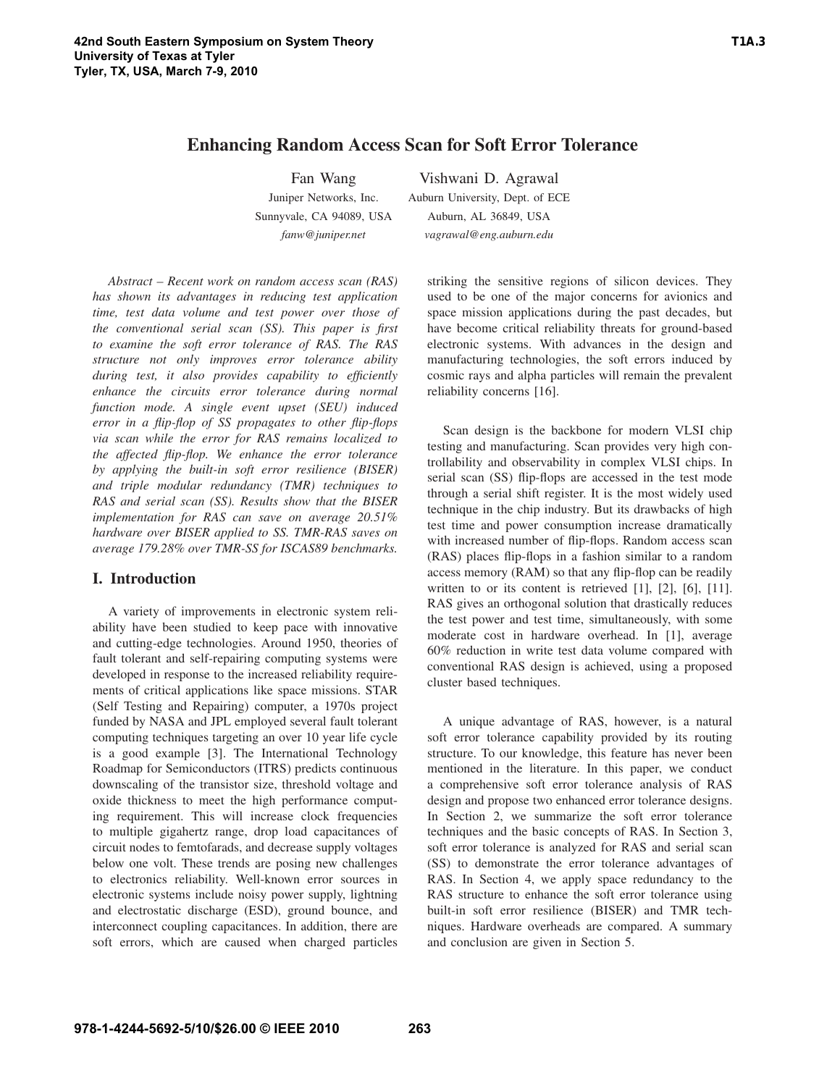# **Enhancing Random Access Scan for Soft Error Tolerance**

Fan Wang Vishwani D. Agrawal Juniper Networks, Inc. Auburn University, Dept. of ECE Sunnyvale, CA 94089, USA Auburn, AL 36849, USA *fanw@juniper.net vagrawal@eng.auburn.edu*

*Abstract – Recent work on random access scan (RAS) has shown its advantages in reducing test application time, test data volume and test power over those of the conventional serial scan (SS). This paper is first to examine the soft error tolerance of RAS. The RAS structure not only improves error tolerance ability during test, it also provides capability to efficiently enhance the circuits error tolerance during normal function mode. A single event upset (SEU) induced error in a flip-flop of SS propagates to other flip-flops via scan while the error for RAS remains localized to the affected flip-flop. We enhance the error tolerance by applying the built-in soft error resilience (BISER) and triple modular redundancy (TMR) techniques to RAS and serial scan (SS). Results show that the BISER implementation for RAS can save on average 20.51% hardware over BISER applied to SS. TMR-RAS saves on average 179.28% over TMR-SS for ISCAS89 benchmarks.*

## **I. Introduction**

A variety of improvements in electronic system reliability have been studied to keep pace with innovative and cutting-edge technologies. Around 1950, theories of fault tolerant and self-repairing computing systems were developed in response to the increased reliability requirements of critical applications like space missions. STAR (Self Testing and Repairing) computer, a 1970s project funded by NASA and JPL employed several fault tolerant computing techniques targeting an over 10 year life cycle is a good example [3]. The International Technology Roadmap for Semiconductors (ITRS) predicts continuous downscaling of the transistor size, threshold voltage and oxide thickness to meet the high performance computing requirement. This will increase clock frequencies to multiple gigahertz range, drop load capacitances of circuit nodes to femtofarads, and decrease supply voltages below one volt. These trends are posing new challenges to electronics reliability. Well-known error sources in electronic systems include noisy power supply, lightning and electrostatic discharge (ESD), ground bounce, and interconnect coupling capacitances. In addition, there are soft errors, which are caused when charged particles striking the sensitive regions of silicon devices. They used to be one of the major concerns for avionics and space mission applications during the past decades, but have become critical reliability threats for ground-based electronic systems. With advances in the design and manufacturing technologies, the soft errors induced by cosmic rays and alpha particles will remain the prevalent reliability concerns [16].

Scan design is the backbone for modern VLSI chip testing and manufacturing. Scan provides very high controllability and observability in complex VLSI chips. In serial scan (SS) flip-flops are accessed in the test mode through a serial shift register. It is the most widely used technique in the chip industry. But its drawbacks of high test time and power consumption increase dramatically with increased number of flip-flops. Random access scan (RAS) places flip-flops in a fashion similar to a random access memory (RAM) so that any flip-flop can be readily written to or its content is retrieved [1], [2], [6], [11]. RAS gives an orthogonal solution that drastically reduces the test power and test time, simultaneously, with some moderate cost in hardware overhead. In [1], average 60% reduction in write test data volume compared with conventional RAS design is achieved, using a proposed cluster based techniques.

A unique advantage of RAS, however, is a natural soft error tolerance capability provided by its routing structure. To our knowledge, this feature has never been mentioned in the literature. In this paper, we conduct a comprehensive soft error tolerance analysis of RAS design and propose two enhanced error tolerance designs. In Section 2, we summarize the soft error tolerance techniques and the basic concepts of RAS. In Section 3, soft error tolerance is analyzed for RAS and serial scan (SS) to demonstrate the error tolerance advantages of RAS. In Section 4, we apply space redundancy to the RAS structure to enhance the soft error tolerance using built-in soft error resilience (BISER) and TMR techniques. Hardware overheads are compared. A summary and conclusion are given in Section 5.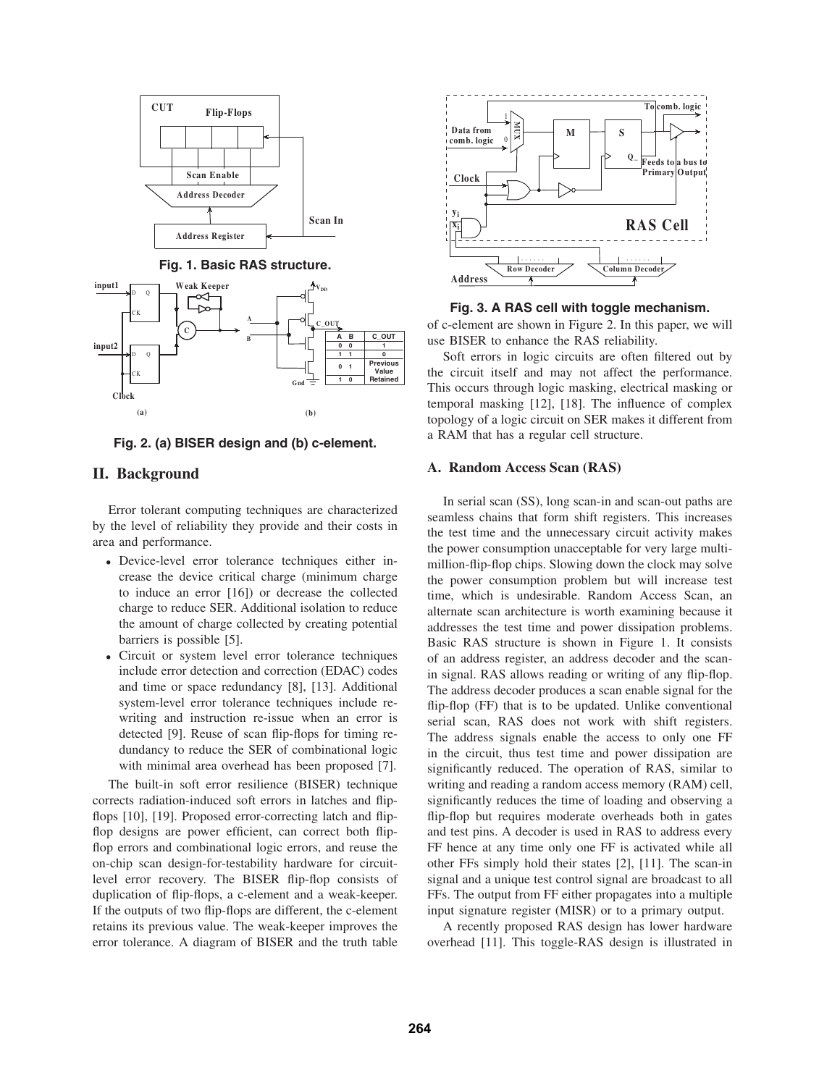





## **II. Background**

Error tolerant computing techniques are characterized by the level of reliability they provide and their costs in area and performance.

- Device-level error tolerance techniques either increase the device critical charge (minimum charge to induce an error [16]) or decrease the collected charge to reduce SER. Additional isolation to reduce the amount of charge collected by creating potential barriers is possible [5].
- Circuit or system level error tolerance techniques include error detection and correction (EDAC) codes and time or space redundancy [8], [13]. Additional system-level error tolerance techniques include rewriting and instruction re-issue when an error is detected [9]. Reuse of scan flip-flops for timing redundancy to reduce the SER of combinational logic with minimal area overhead has been proposed [7].

The built-in soft error resilience (BISER) technique corrects radiation-induced soft errors in latches and flipflops [10], [19]. Proposed error-correcting latch and flipflop designs are power efficient, can correct both flipflop errors and combinational logic errors, and reuse the on-chip scan design-for-testability hardware for circuitlevel error recovery. The BISER flip-flop consists of duplication of flip-flops, a c-element and a weak-keeper. If the outputs of two flip-flops are different, the c-element retains its previous value. The weak-keeper improves the error tolerance. A diagram of BISER and the truth table



**Fig. 3. A RAS cell with toggle mechanism.**

of c-element are shown in Figure 2. In this paper, we will use BISER to enhance the RAS reliability.

Soft errors in logic circuits are often filtered out by the circuit itself and may not affect the performance. This occurs through logic masking, electrical masking or temporal masking [12], [18]. The influence of complex topology of a logic circuit on SER makes it different from a RAM that has a regular cell structure.

### **A. Random Access Scan (RAS)**

In serial scan (SS), long scan-in and scan-out paths are seamless chains that form shift registers. This increases the test time and the unnecessary circuit activity makes the power consumption unacceptable for very large multimillion-flip-flop chips. Slowing down the clock may solve the power consumption problem but will increase test time, which is undesirable. Random Access Scan, an alternate scan architecture is worth examining because it addresses the test time and power dissipation problems. Basic RAS structure is shown in Figure 1. It consists of an address register, an address decoder and the scanin signal. RAS allows reading or writing of any flip-flop. The address decoder produces a scan enable signal for the flip-flop (FF) that is to be updated. Unlike conventional serial scan, RAS does not work with shift registers. The address signals enable the access to only one FF in the circuit, thus test time and power dissipation are significantly reduced. The operation of RAS, similar to writing and reading a random access memory (RAM) cell, significantly reduces the time of loading and observing a flip-flop but requires moderate overheads both in gates and test pins. A decoder is used in RAS to address every FF hence at any time only one FF is activated while all other FFs simply hold their states [2], [11]. The scan-in signal and a unique test control signal are broadcast to all FFs. The output from FF either propagates into a multiple input signature register (MISR) or to a primary output.

A recently proposed RAS design has lower hardware overhead [11]. This toggle-RAS design is illustrated in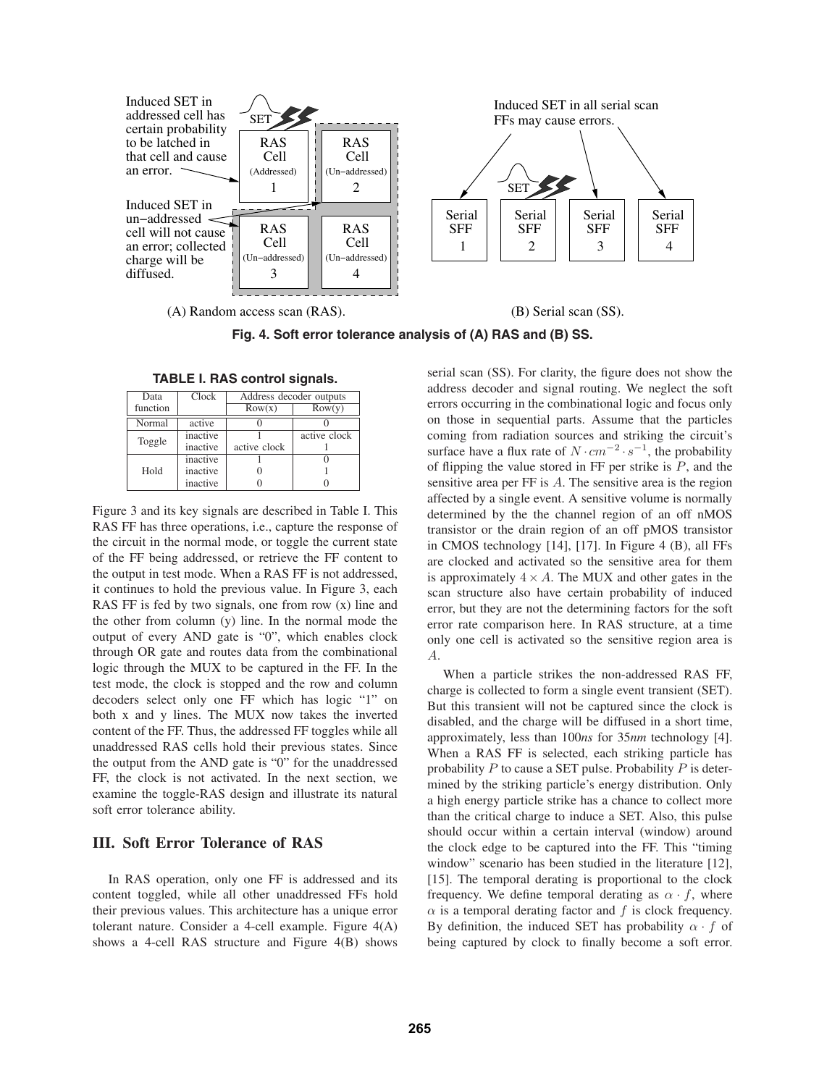

**Fig. 4. Soft error tolerance analysis of (A) RAS and (B) SS.**

| Data     | Clock    | Address decoder outputs |              |  |  |  |
|----------|----------|-------------------------|--------------|--|--|--|
| function |          | Row(x)                  | Row(y)       |  |  |  |
| Normal   | active   |                         |              |  |  |  |
| Toggle   | inactive |                         | active clock |  |  |  |
|          | inactive | active clock            |              |  |  |  |
| Hold     | inactive |                         |              |  |  |  |
|          | inactive |                         |              |  |  |  |
|          | inactive |                         |              |  |  |  |

**TABLE I. RAS control signals.**

Figure 3 and its key signals are described in Table I. This RAS FF has three operations, i.e., capture the response of the circuit in the normal mode, or toggle the current state of the FF being addressed, or retrieve the FF content to the output in test mode. When a RAS FF is not addressed, it continues to hold the previous value. In Figure 3, each RAS FF is fed by two signals, one from row (x) line and the other from column (y) line. In the normal mode the output of every AND gate is "0", which enables clock through OR gate and routes data from the combinational logic through the MUX to be captured in the FF. In the test mode, the clock is stopped and the row and column decoders select only one FF which has logic "1" on both x and y lines. The MUX now takes the inverted content of the FF. Thus, the addressed FF toggles while all unaddressed RAS cells hold their previous states. Since the output from the AND gate is "0" for the unaddressed FF, the clock is not activated. In the next section, we examine the toggle-RAS design and illustrate its natural soft error tolerance ability.

## **III. Soft Error Tolerance of RAS**

In RAS operation, only one FF is addressed and its content toggled, while all other unaddressed FFs hold their previous values. This architecture has a unique error tolerant nature. Consider a 4-cell example. Figure 4(A) shows a 4-cell RAS structure and Figure 4(B) shows

serial scan (SS). For clarity, the figure does not show the address decoder and signal routing. We neglect the soft errors occurring in the combinational logic and focus only on those in sequential parts. Assume that the particles coming from radiation sources and striking the circuit's surface have a flux rate of  $N \cdot cm^{-2} \cdot s^{-1}$ , the probability of flipping the value stored in  $FF$  per strike is  $P$ , and the sensitive area per FF is A. The sensitive area is the region affected by a single event. A sensitive volume is normally determined by the the channel region of an off nMOS transistor or the drain region of an off pMOS transistor in CMOS technology [14], [17]. In Figure 4 (B), all FFs are clocked and activated so the sensitive area for them is approximately  $4 \times A$ . The MUX and other gates in the scan structure also have certain probability of induced error, but they are not the determining factors for the soft error rate comparison here. In RAS structure, at a time only one cell is activated so the sensitive region area is A.

When a particle strikes the non-addressed RAS FF, charge is collected to form a single event transient (SET). But this transient will not be captured since the clock is disabled, and the charge will be diffused in a short time, approximately, less than 100*ns* for 35*nm* technology [4]. When a RAS FF is selected, each striking particle has probability  $P$  to cause a SET pulse. Probability  $P$  is determined by the striking particle's energy distribution. Only a high energy particle strike has a chance to collect more than the critical charge to induce a SET. Also, this pulse should occur within a certain interval (window) around the clock edge to be captured into the FF. This "timing window" scenario has been studied in the literature [12], [15]. The temporal derating is proportional to the clock frequency. We define temporal derating as  $\alpha \cdot f$ , where  $\alpha$  is a temporal derating factor and f is clock frequency. By definition, the induced SET has probability  $\alpha \cdot f$  of being captured by clock to finally become a soft error.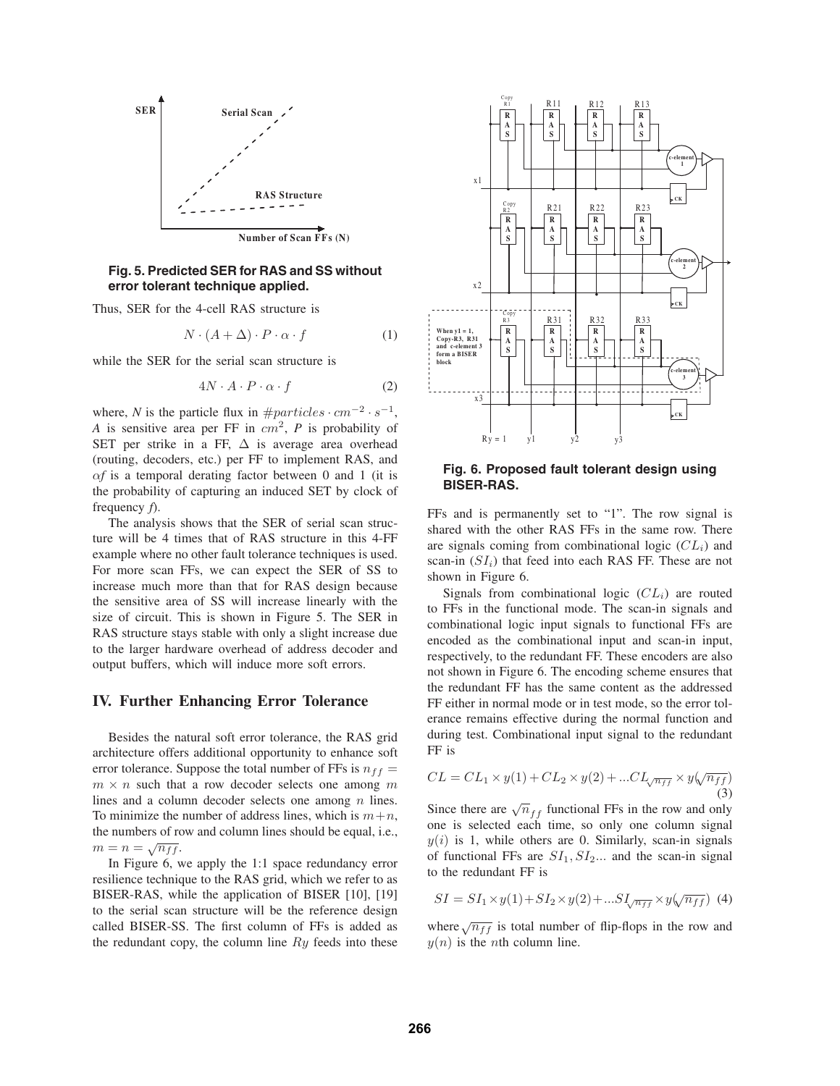

### **Fig. 5. Predicted SER for RAS and SS without error tolerant technique applied.**

Thus, SER for the 4-cell RAS structure is

$$
N \cdot (A + \Delta) \cdot P \cdot \alpha \cdot f \tag{1}
$$

while the SER for the serial scan structure is

$$
4N \cdot A \cdot P \cdot \alpha \cdot f \tag{2}
$$

where, *N* is the particle flux in  $\#particles \cdot cm^{-2} \cdot s^{-1}$ , *A* is sensitive area per FF in  $cm^2$ , *P* is probability of SET per strike in a FF,  $\Delta$  is average area overhead (routing, decoders, etc.) per FF to implement RAS, and α*f* is a temporal derating factor between 0 and 1 (it is the probability of capturing an induced SET by clock of frequency *f*).

The analysis shows that the SER of serial scan structure will be 4 times that of RAS structure in this 4-FF example where no other fault tolerance techniques is used. For more scan FFs, we can expect the SER of SS to increase much more than that for RAS design because the sensitive area of SS will increase linearly with the size of circuit. This is shown in Figure 5. The SER in RAS structure stays stable with only a slight increase due to the larger hardware overhead of address decoder and output buffers, which will induce more soft errors.

## **IV. Further Enhancing Error Tolerance**

Besides the natural soft error tolerance, the RAS grid architecture offers additional opportunity to enhance soft error tolerance. Suppose the total number of FFs is  $n_{ff}$  =  $m \times n$  such that a row decoder selects one among m lines and a column decoder selects one among  $n$  lines. To minimize the number of address lines, which is  $m+n$ , the numbers of row and column lines should be equal, i.e.,  $m = n = \sqrt{n_{ff}}$ .

In Figure 6, we apply the 1:1 space redundancy error resilience technique to the RAS grid, which we refer to as BISER-RAS, while the application of BISER [10], [19] to the serial scan structure will be the reference design called BISER-SS. The first column of FFs is added as the redundant copy, the column line  $Ry$  feeds into these



### **Fig. 6. Proposed fault tolerant design using BISER-RAS.**

FFs and is permanently set to "1". The row signal is shared with the other RAS FFs in the same row. There are signals coming from combinational logic  $(CL<sub>i</sub>)$  and scan-in  $(SI_i)$  that feed into each RAS FF. These are not shown in Figure 6.

Signals from combinational logic  $(CL<sub>i</sub>)$  are routed to FFs in the functional mode. The scan-in signals and combinational logic input signals to functional FFs are encoded as the combinational input and scan-in input, respectively, to the redundant FF. These encoders are also not shown in Figure 6. The encoding scheme ensures that the redundant FF has the same content as the addressed FF either in normal mode or in test mode, so the error tolerance remains effective during the normal function and during test. Combinational input signal to the redundant FF is

$$
CL = CL_1 \times y(1) + CL_2 \times y(2) + ... CL_{\sqrt{n_{ff}}} \times y(\sqrt{n_{ff}})
$$
\n(3)

Since there are  $\sqrt{n}_{ff}$  functional FFs in the row and only one is selected each time, so only one column signal  $y(i)$  is 1, while others are 0. Similarly, scan-in signals of functional FFs are  $SI_1, SI_2...$  and the scan-in signal to the redundant FF is

$$
SI = SI_1 \times y(1) + SI_2 \times y(2) + ...SI_{\sqrt{n_{ff}}} \times y(\sqrt{n_{ff}})
$$
 (4)

where  $\sqrt{n_{ff}}$  is total number of flip-flops in the row and  $y(n)$  is the *n*th column line.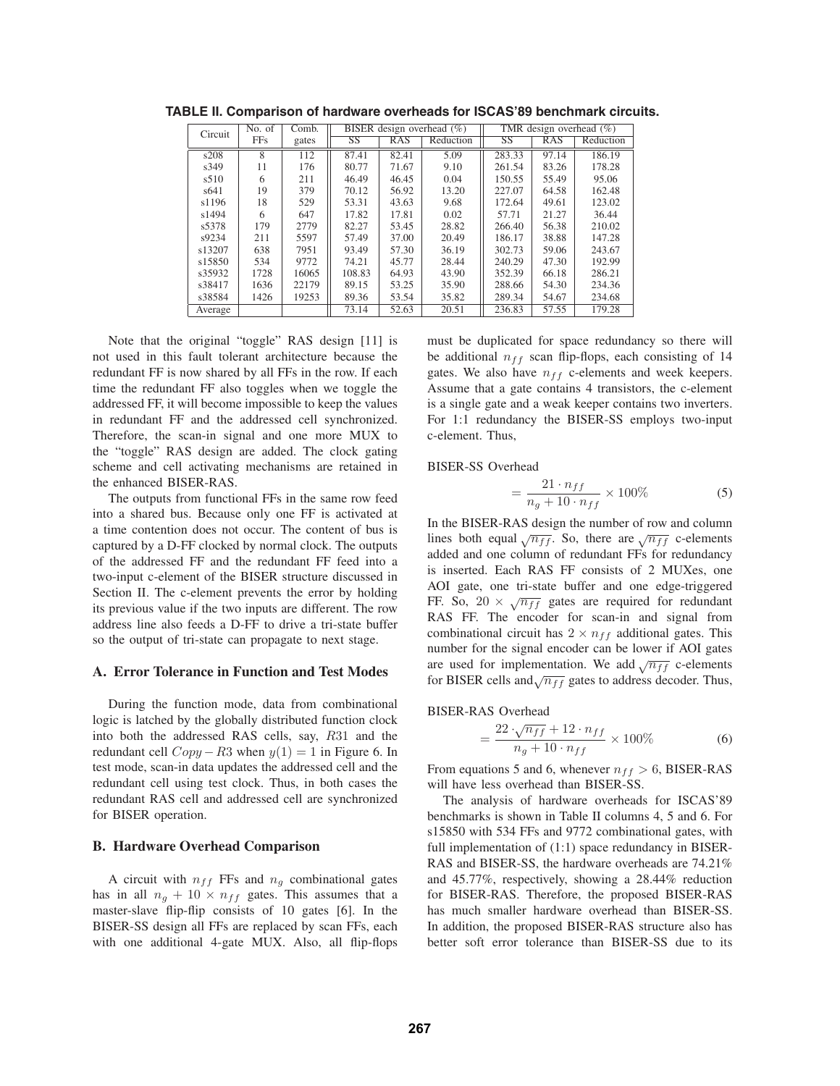| Circuit | No. of     | Comb. | BISER design overhead $(\%)$ |            |           | TMR design overhead $(\%)$ |            |           |
|---------|------------|-------|------------------------------|------------|-----------|----------------------------|------------|-----------|
|         | <b>FFs</b> | gates | SS                           | <b>RAS</b> | Reduction | SS                         | <b>RAS</b> | Reduction |
| s208    | 8          | 112   | 87.41                        | 82.41      | 5.09      | 283.33                     | 97.14      | 186.19    |
| s349    | 11         | 176   | 80.77                        | 71.67      | 9.10      | 261.54                     | 83.26      | 178.28    |
| s510    | 6          | 211   | 46.49                        | 46.45      | 0.04      | 150.55                     | 55.49      | 95.06     |
| s641    | 19         | 379   | 70.12                        | 56.92      | 13.20     | 227.07                     | 64.58      | 162.48    |
| s1196   | 18         | 529   | 53.31                        | 43.63      | 9.68      | 172.64                     | 49.61      | 123.02    |
| s1494   | 6          | 647   | 17.82                        | 17.81      | 0.02      | 57.71                      | 21.27      | 36.44     |
| s5378   | 179        | 2779  | 82.27                        | 53.45      | 28.82     | 266.40                     | 56.38      | 210.02    |
| s9234   | 211        | 5597  | 57.49                        | 37.00      | 20.49     | 186.17                     | 38.88      | 147.28    |
| s13207  | 638        | 7951  | 93.49                        | 57.30      | 36.19     | 302.73                     | 59.06      | 243.67    |
| s15850  | 534        | 9772  | 74.21                        | 45.77      | 28.44     | 240.29                     | 47.30      | 192.99    |
| s35932  | 1728       | 16065 | 108.83                       | 64.93      | 43.90     | 352.39                     | 66.18      | 286.21    |
| s38417  | 1636       | 22179 | 89.15                        | 53.25      | 35.90     | 288.66                     | 54.30      | 234.36    |
| s38584  | 1426       | 19253 | 89.36                        | 53.54      | 35.82     | 289.34                     | 54.67      | 234.68    |
| Average |            |       | 73.14                        | 52.63      | 20.51     | 236.83                     | 57.55      | 179.28    |

**TABLE II. Comparison of hardware overheads for ISCAS'89 benchmark circuits.**

Note that the original "toggle" RAS design [11] is not used in this fault tolerant architecture because the redundant FF is now shared by all FFs in the row. If each time the redundant FF also toggles when we toggle the addressed FF, it will become impossible to keep the values in redundant FF and the addressed cell synchronized. Therefore, the scan-in signal and one more MUX to the "toggle" RAS design are added. The clock gating scheme and cell activating mechanisms are retained in the enhanced BISER-RAS.

The outputs from functional FFs in the same row feed into a shared bus. Because only one FF is activated at a time contention does not occur. The content of bus is captured by a D-FF clocked by normal clock. The outputs of the addressed FF and the redundant FF feed into a two-input c-element of the BISER structure discussed in Section II. The c-element prevents the error by holding its previous value if the two inputs are different. The row address line also feeds a D-FF to drive a tri-state buffer so the output of tri-state can propagate to next stage.

#### **A. Error Tolerance in Function and Test Modes**

During the function mode, data from combinational logic is latched by the globally distributed function clock into both the addressed RAS cells, say, R31 and the redundant cell  $Copy - R3$  when  $y(1) = 1$  in Figure 6. In test mode, scan-in data updates the addressed cell and the redundant cell using test clock. Thus, in both cases the redundant RAS cell and addressed cell are synchronized for BISER operation.

#### **B. Hardware Overhead Comparison**

A circuit with  $n_{ff}$  FFs and  $n_g$  combinational gates has in all  $n_g + 10 \times n_{ff}$  gates. This assumes that a master-slave flip-flip consists of 10 gates [6]. In the BISER-SS design all FFs are replaced by scan FFs, each with one additional 4-gate MUX. Also, all flip-flops must be duplicated for space redundancy so there will be additional  $n_{ff}$  scan flip-flops, each consisting of 14 gates. We also have  $n_{ff}$  c-elements and week keepers. Assume that a gate contains 4 transistors, the c-element is a single gate and a weak keeper contains two inverters. For 1:1 redundancy the BISER-SS employs two-input c-element. Thus,

BISER-SS Overhead

$$
=\frac{21 \cdot n_{ff}}{n_g + 10 \cdot n_{ff}} \times 100\%
$$
 (5)

In the BISER-RAS design the number of row and column lines both equal  $\sqrt{n_{ff}}$ . So, there are  $\sqrt{n_{ff}}$  c-elements added and one column of redundant FFs for redundancy is inserted. Each RAS FF consists of 2 MUXes, one AOI gate, one tri-state buffer and one edge-triggered FF. So,  $20 \times \sqrt{n_{ff}}$  gates are required for redundant RAS FF. The encoder for scan-in and signal from combinational circuit has  $2 \times n_{ff}$  additional gates. This number for the signal encoder can be lower if AOI gates are used for implementation. We add  $\sqrt{n_{ff}}$  c-elements for BISER cells and  $\sqrt{n_{ff}}$  gates to address decoder. Thus,

BISER-RAS Overhead

$$
=\frac{22\cdot\sqrt{n_{ff}}+12\cdot n_{ff}}{n_g+10\cdot n_{ff}}\times 100\%
$$
 (6)

From equations 5 and 6, whenever  $n_{ff} > 6$ , BISER-RAS will have less overhead than BISER-SS.

The analysis of hardware overheads for ISCAS'89 benchmarks is shown in Table II columns 4, 5 and 6. For s15850 with 534 FFs and 9772 combinational gates, with full implementation of (1:1) space redundancy in BISER-RAS and BISER-SS, the hardware overheads are 74.21% and 45.77%, respectively, showing a 28.44% reduction for BISER-RAS. Therefore, the proposed BISER-RAS has much smaller hardware overhead than BISER-SS. In addition, the proposed BISER-RAS structure also has better soft error tolerance than BISER-SS due to its